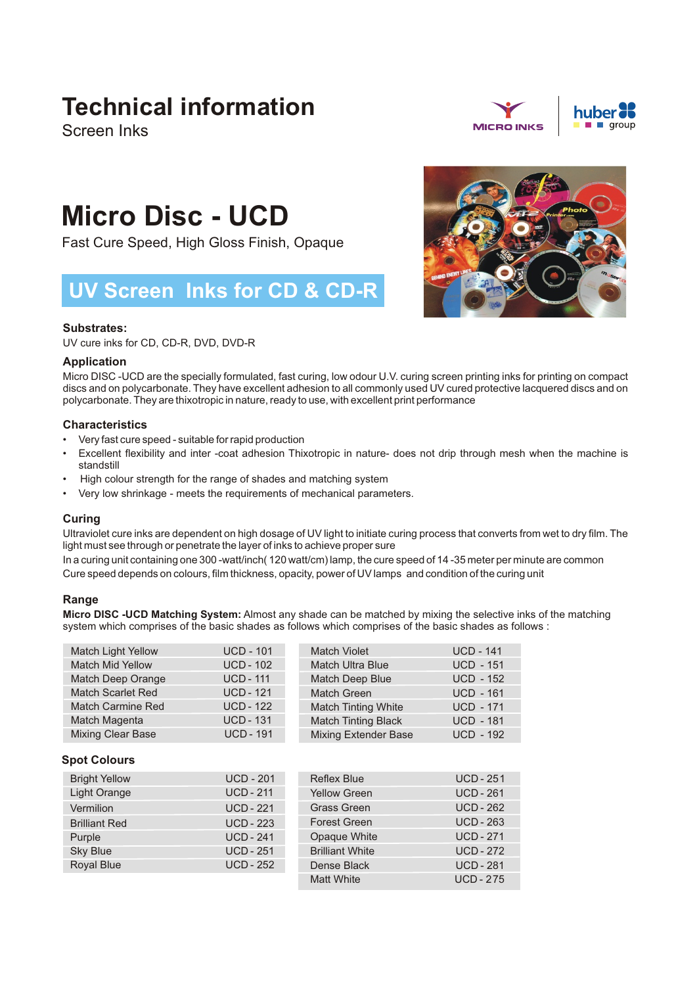# **Technical information**

Screen Inks





# **Micro Disc - UCD**

Fast Cure Speed, High Gloss Finish, Opaque

# **UV Screen Inks for CD & CD-R**

# **Substrates:**

UV cure inks for CD, CD-R, DVD, DVD-R

# **Application**

Micro DISC -UCD are the specially formulated, fast curing, low odour U.V. curing screen printing inks for printing on compact discs and on polycarbonate. They have excellent adhesion to all commonly used UV cured protective lacquered discs and on polycarbonate. They are thixotropic in nature, ready to use, with excellent print performance

# **Characteristics**

- Very fast cure speed suitable for rapid production
- Excellent flexibility and inter -coat adhesion Thixotropic in nature- does not drip through mesh when the machine is standstill
- High colour strength for the range of shades and matching system
- Very low shrinkage meets the requirements of mechanical parameters.

# **Curing**

Ultraviolet cure inks are dependent on high dosage of UV light to initiate curing process that converts from wet to dry film. The light must see through or penetrate the layer of inks to achieve proper sure

In a curing unit containing one 300 -watt/inch( 120 watt/cm) lamp, the cure speed of 14 -35 meter per minute are common Cure speed depends on colours, film thickness, opacity, power of UV lamps and condition of the curing unit

# **Range**

**Micro DISC -UCD Matching System:** Almost any shade can be matched by mixing the selective inks of the matching system which comprises of the basic shades as follows which comprises of the basic shades as follows :

| <b>Match Light Yellow</b> | <b>UCD - 101</b> | <b>Match Violet</b>         | <b>UCD - 141</b> |
|---------------------------|------------------|-----------------------------|------------------|
| <b>Match Mid Yellow</b>   | <b>UCD - 102</b> | <b>Match Ultra Blue</b>     | <b>UCD - 151</b> |
| Match Deep Orange         | <b>UCD - 111</b> | Match Deep Blue             | <b>UCD - 152</b> |
| <b>Match Scarlet Red</b>  | <b>UCD - 121</b> | Match Green                 | <b>UCD - 161</b> |
| <b>Match Carmine Red</b>  | <b>UCD - 122</b> | <b>Match Tinting White</b>  | <b>UCD - 171</b> |
| Match Magenta             | <b>UCD - 131</b> | <b>Match Tinting Black</b>  | <b>UCD - 181</b> |
| <b>Mixing Clear Base</b>  | <b>UCD - 191</b> | <b>Mixing Extender Base</b> | <b>UCD - 192</b> |

# **Spot Colours**

| <b>Bright Yellow</b> | <b>UCD - 201</b> | <b>Reflex Blue</b>     | <b>UCD - 251</b> |
|----------------------|------------------|------------------------|------------------|
| Light Orange         | <b>UCD - 211</b> | <b>Yellow Green</b>    | <b>UCD - 261</b> |
| Vermilion            | <b>UCD - 221</b> | <b>Grass Green</b>     | <b>UCD - 262</b> |
| <b>Brilliant Red</b> | <b>UCD - 223</b> | <b>Forest Green</b>    | <b>UCD - 263</b> |
| Purple               | <b>UCD - 241</b> | Opaque White           | <b>UCD - 271</b> |
| <b>Sky Blue</b>      | <b>UCD - 251</b> | <b>Brilliant White</b> | <b>UCD - 272</b> |
| Royal Blue           | <b>UCD - 252</b> | Dense Black            | <b>UCD - 281</b> |
|                      |                  | <b>Matt White</b>      | <b>UCD-275</b>   |